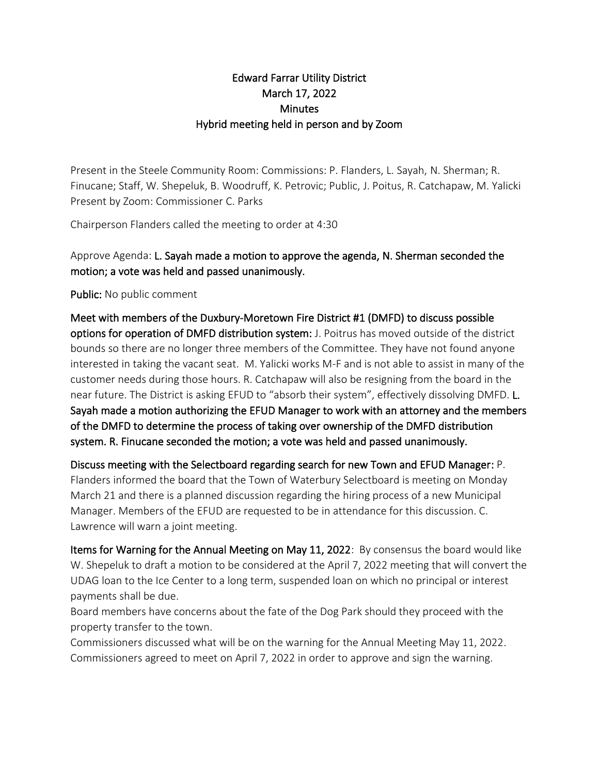## Edward Farrar Utility District March 17, 2022 **Minutes** Hybrid meeting held in person and by Zoom

Present in the Steele Community Room: Commissions: P. Flanders, L. Sayah, N. Sherman; R. Finucane; Staff, W. Shepeluk, B. Woodruff, K. Petrovic; Public, J. Poitus, R. Catchapaw, M. Yalicki Present by Zoom: Commissioner C. Parks

Chairperson Flanders called the meeting to order at 4:30

Approve Agenda: L. Sayah made a motion to approve the agenda, N. Sherman seconded the motion; a vote was held and passed unanimously.

Public: No public comment

Meet with members of the Duxbury-Moretown Fire District #1 (DMFD) to discuss possible options for operation of DMFD distribution system: J. Poitrus has moved outside of the district bounds so there are no longer three members of the Committee. They have not found anyone interested in taking the vacant seat. M. Yalicki works M-F and is not able to assist in many of the customer needs during those hours. R. Catchapaw will also be resigning from the board in the near future. The District is asking EFUD to "absorb their system", effectively dissolving DMFD. L. Sayah made a motion authorizing the EFUD Manager to work with an attorney and the members of the DMFD to determine the process of taking over ownership of the DMFD distribution system. R. Finucane seconded the motion; a vote was held and passed unanimously.

Discuss meeting with the Selectboard regarding search for new Town and EFUD Manager: P. Flanders informed the board that the Town of Waterbury Selectboard is meeting on Monday March 21 and there is a planned discussion regarding the hiring process of a new Municipal Manager. Members of the EFUD are requested to be in attendance for this discussion. C. Lawrence will warn a joint meeting.

Items for Warning for the Annual Meeting on May 11, 2022: By consensus the board would like W. Shepeluk to draft a motion to be considered at the April 7, 2022 meeting that will convert the UDAG loan to the Ice Center to a long term, suspended loan on which no principal or interest payments shall be due.

Board members have concerns about the fate of the Dog Park should they proceed with the property transfer to the town.

Commissioners discussed what will be on the warning for the Annual Meeting May 11, 2022. Commissioners agreed to meet on April 7, 2022 in order to approve and sign the warning.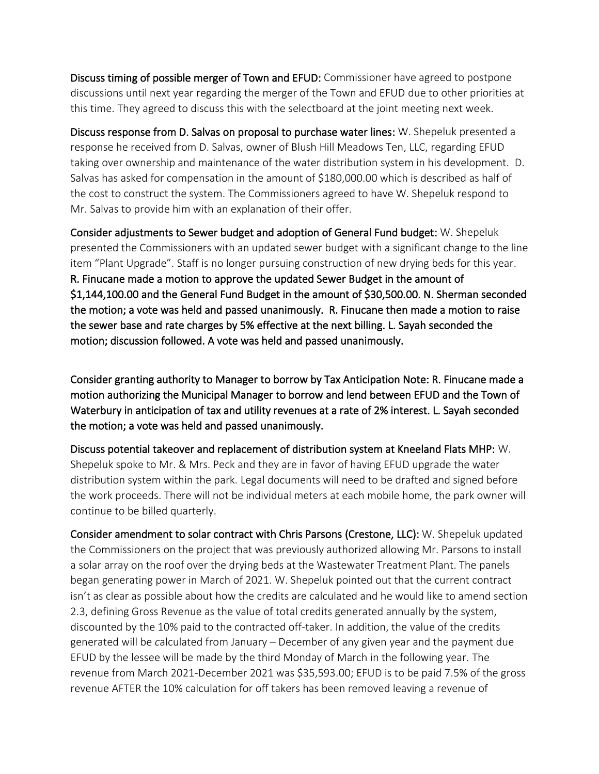Discuss timing of possible merger of Town and EFUD: Commissioner have agreed to postpone discussions until next year regarding the merger of the Town and EFUD due to other priorities at this time. They agreed to discuss this with the selectboard at the joint meeting next week.

Discuss response from D. Salvas on proposal to purchase water lines: W. Shepeluk presented a response he received from D. Salvas, owner of Blush Hill Meadows Ten, LLC, regarding EFUD taking over ownership and maintenance of the water distribution system in his development. D. Salvas has asked for compensation in the amount of \$180,000.00 which is described as half of the cost to construct the system. The Commissioners agreed to have W. Shepeluk respond to Mr. Salvas to provide him with an explanation of their offer.

Consider adjustments to Sewer budget and adoption of General Fund budget: W. Shepeluk presented the Commissioners with an updated sewer budget with a significant change to the line item "Plant Upgrade". Staff is no longer pursuing construction of new drying beds for this year. R. Finucane made a motion to approve the updated Sewer Budget in the amount of \$1,144,100.00 and the General Fund Budget in the amount of \$30,500.00. N. Sherman seconded the motion; a vote was held and passed unanimously. R. Finucane then made a motion to raise the sewer base and rate charges by 5% effective at the next billing. L. Sayah seconded the motion; discussion followed. A vote was held and passed unanimously.

Consider granting authority to Manager to borrow by Tax Anticipation Note: R. Finucane made a motion authorizing the Municipal Manager to borrow and lend between EFUD and the Town of Waterbury in anticipation of tax and utility revenues at a rate of 2% interest. L. Sayah seconded the motion; a vote was held and passed unanimously.

Discuss potential takeover and replacement of distribution system at Kneeland Flats MHP: W. Shepeluk spoke to Mr. & Mrs. Peck and they are in favor of having EFUD upgrade the water distribution system within the park. Legal documents will need to be drafted and signed before the work proceeds. There will not be individual meters at each mobile home, the park owner will continue to be billed quarterly.

Consider amendment to solar contract with Chris Parsons (Crestone, LLC): W. Shepeluk updated the Commissioners on the project that was previously authorized allowing Mr. Parsons to install a solar array on the roof over the drying beds at the Wastewater Treatment Plant. The panels began generating power in March of 2021. W. Shepeluk pointed out that the current contract isn't as clear as possible about how the credits are calculated and he would like to amend section 2.3, defining Gross Revenue as the value of total credits generated annually by the system, discounted by the 10% paid to the contracted off-taker. In addition, the value of the credits generated will be *c*alculated from January – December of any given year and the payment due EFUD by the lessee will be made by the third Monday of March in the following year. The revenue from March 2021-December 2021 was \$35,593.00; EFUD is to be paid 7.5% of the gross revenue AFTER the 10% calculation for off takers has been removed leaving a revenue of